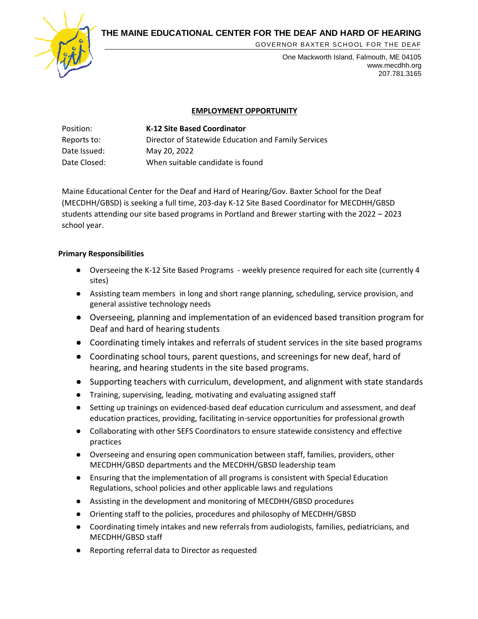**THE MAINE EDUCATIONAL CENTER FOR THE DEAF AND HARD OF HEARING**



GOVERNOR BAXTER SCHOOL FOR THE DEAF

One Mackworth Island, Falmouth, ME 04105 www.mecdhh.org 207.781.3165

## **EMPLOYMENT OPPORTUNITY**

| Position:    | <b>K-12 Site Based Coordinator</b>                  |
|--------------|-----------------------------------------------------|
| Reports to:  | Director of Statewide Education and Family Services |
| Date Issued: | May 20, 2022                                        |
| Date Closed: | When suitable candidate is found                    |

Maine Educational Center for the Deaf and Hard of Hearing/Gov. Baxter School for the Deaf (MECDHH/GBSD) is seeking a full time, 203-day K-12 Site Based Coordinator for MECDHH/GBSD students attending our site based programs in Portland and Brewer starting with the 2022 – 2023 school year.

## **Primary Responsibilities**

- Overseeing the K-12 Site Based Programs weekly presence required for each site (currently 4 sites)
- Assisting team members in long and short range planning, scheduling, service provision, and general assistive technology needs
- Overseeing, planning and implementation of an evidenced based transition program for Deaf and hard of hearing students
- Coordinating timely intakes and referrals of student services in the site based programs
- Coordinating school tours, parent questions, and screenings for new deaf, hard of hearing, and hearing students in the site based programs.
- Supporting teachers with curriculum, development, and alignment with state standards
- Training, supervising, leading, motivating and evaluating assigned staff
- Setting up trainings on evidenced-based deaf education curriculum and assessment, and deaf education practices, providing, facilitating in-service opportunities for professional growth
- Collaborating with other SEFS Coordinators to ensure statewide consistency and effective practices
- Overseeing and ensuring open communication between staff, families, providers, other MECDHH/GBSD departments and the MECDHH/GBSD leadership team
- Ensuring that the implementation of all programs is consistent with Special Education Regulations, school policies and other applicable laws and regulations
- Assisting in the development and monitoring of MECDHH/GBSD procedures
- Orienting staff to the policies, procedures and philosophy of MECDHH/GBSD
- Coordinating timely intakes and new referrals from audiologists, families, pediatricians, and MECDHH/GBSD staff
- Reporting referral data to Director as requested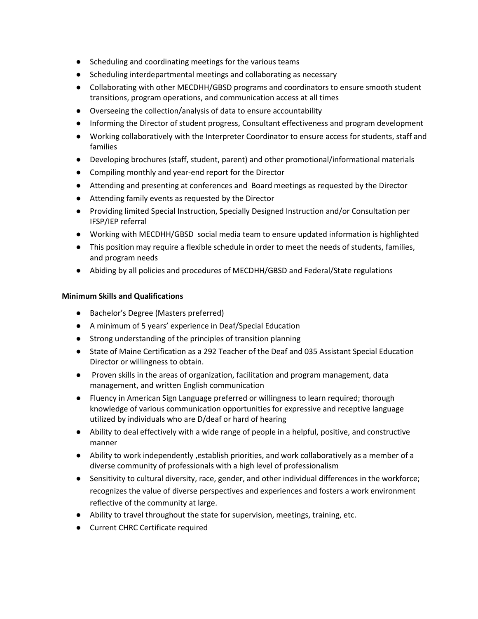- Scheduling and coordinating meetings for the various teams
- Scheduling interdepartmental meetings and collaborating as necessary
- Collaborating with other MECDHH/GBSD programs and coordinators to ensure smooth student transitions, program operations, and communication access at all times
- Overseeing the collection/analysis of data to ensure accountability
- Informing the Director of student progress, Consultant effectiveness and program development
- Working collaboratively with the Interpreter Coordinator to ensure access for students, staff and families
- Developing brochures (staff, student, parent) and other promotional/informational materials
- Compiling monthly and year-end report for the Director
- Attending and presenting at conferences and Board meetings as requested by the Director
- Attending family events as requested by the Director
- Providing limited Special Instruction, Specially Designed Instruction and/or Consultation per IFSP/IEP referral
- Working with MECDHH/GBSD social media team to ensure updated information is highlighted
- This position may require a flexible schedule in order to meet the needs of students, families, and program needs
- Abiding by all policies and procedures of MECDHH/GBSD and Federal/State regulations

## **Minimum Skills and Qualifications**

- Bachelor's Degree (Masters preferred)
- A minimum of 5 years' experience in Deaf/Special Education
- Strong understanding of the principles of transition planning
- State of Maine Certification as a 292 Teacher of the Deaf and 035 Assistant Special Education Director or willingness to obtain.
- Proven skills in the areas of organization, facilitation and program management, data management, and written English communication
- Fluency in American Sign Language preferred or willingness to learn required; thorough knowledge of various communication opportunities for expressive and receptive language utilized by individuals who are D/deaf or hard of hearing
- Ability to deal effectively with a wide range of people in a helpful, positive, and constructive manner
- Ability to work independently , establish priorities, and work collaboratively as a member of a diverse community of professionals with a high level of professionalism
- Sensitivity to cultural diversity, race, gender, and other individual differences in the workforce; recognizes the value of diverse perspectives and experiences and fosters a work environment reflective of the community at large.
- Ability to travel throughout the state for supervision, meetings, training, etc.
- Current CHRC Certificate required